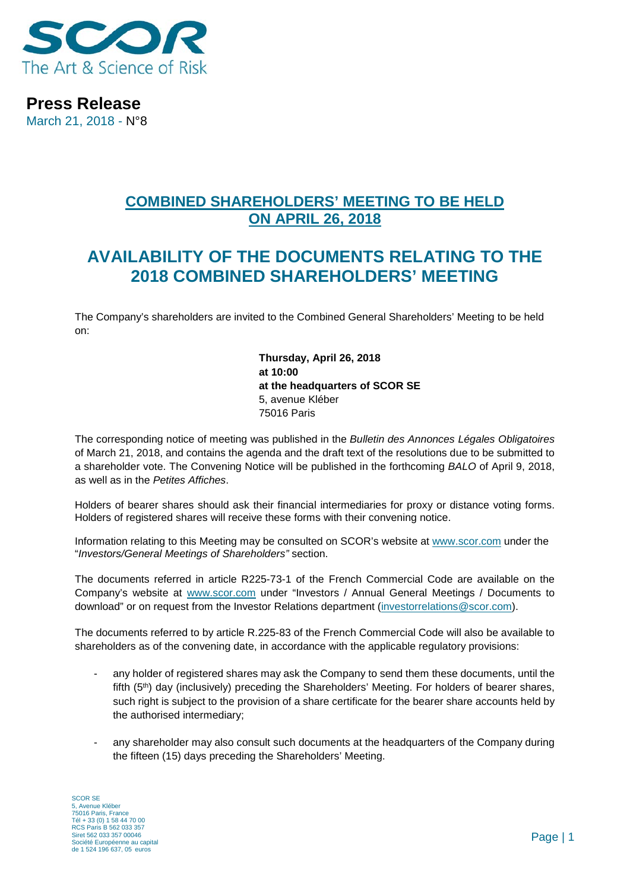

**Press Release** March 21, 2018 - N°8

## **COMBINED SHAREHOLDERS' MEETING TO BE HELD ON APRIL 26, 2018**

## **AVAILABILITY OF THE DOCUMENTS RELATING TO THE 2018 COMBINED SHAREHOLDERS' MEETING**

The Company's shareholders are invited to the Combined General Shareholders' Meeting to be held on:

> **Thursday, April 26, 2018 at 10:00 at the headquarters of SCOR SE** 5, avenue Kléber 75016 Paris

The corresponding notice of meeting was published in the *Bulletin des Annonces Légales Obligatoires*  of March 21, 2018, and contains the agenda and the draft text of the resolutions due to be submitted to a shareholder vote. The Convening Notice will be published in the forthcoming *BALO* of April 9, 2018, as well as in the *Petites Affiches*.

Holders of bearer shares should ask their financial intermediaries for proxy or distance voting forms. Holders of registered shares will receive these forms with their convening notice.

Information relating to this Meeting may be consulted on SCOR's website at [www.scor.com](http://www.scor.com/) under the "*Investors/General Meetings of Shareholders"* section.

The documents referred in article R225-73-1 of the French Commercial Code are available on the Company's website at [www.scor.com](http://www.scor.com/) under "Investors / Annual General Meetings / Documents to download" or on request from the Investor Relations department [\(investorrelations@scor.com\)](mailto:Investorrelations@scor.com).

The documents referred to by article R.225-83 of the French Commercial Code will also be available to shareholders as of the convening date, in accordance with the applicable regulatory provisions:

- any holder of registered shares may ask the Company to send them these documents, until the fifth (5<sup>th</sup>) day (inclusively) preceding the Shareholders' Meeting. For holders of bearer shares, such right is subject to the provision of a share certificate for the bearer share accounts held by the authorised intermediary;
- any shareholder may also consult such documents at the headquarters of the Company during the fifteen (15) days preceding the Shareholders' Meeting.

SCOR SE 5, Avenue Kléber 75016 Paris, France Tél + 33 (0) 1 58 44 70 00 RCS Paris B 562 033 357 Siret 562 033 357 00046 Société Européenne au capital de 1 524 196 637, 05 euros